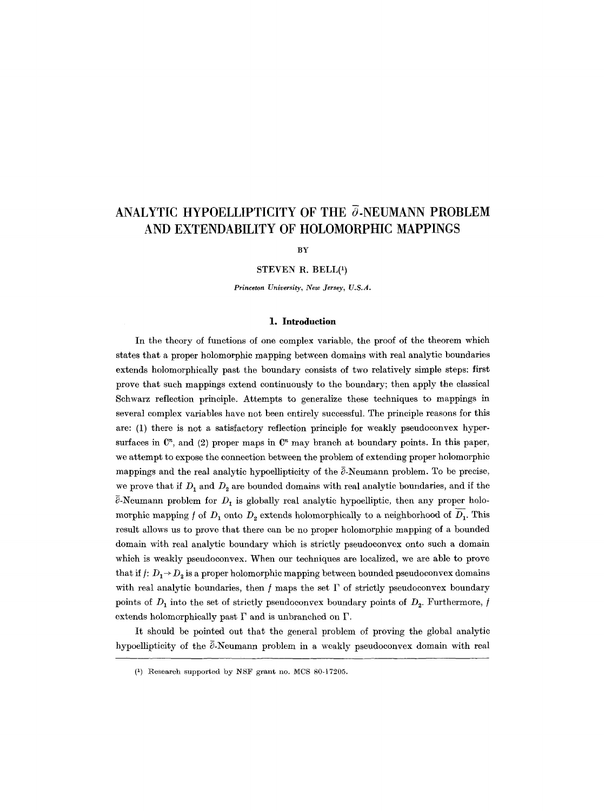# ANALYTIC HYPOELLIPTICITY OF THE  $\bar{\partial}$ -NEUMANN PROBLEM **AND EXTENDABILITY OF HOLOMORPHIC MAPPINGS**

**BY** 

**STEVEN** R. BELL(1)

*Princeton University, New Jersey, U.S.A.* 

### **1. Introduction**

In the theory of functions of one complex variable, the proof of the theorem which states that a proper holomorphic mapping between domains with real analytic boundaries extends holomorphically past the boundary consists of two relatively simple steps: first prove that such mappings extend continuously to the boundary; then apply the classical Schwarz reflection principle. Attempts to generalize these techniques to mappings in several complex variables have not been entirely successful. The principle reasons for this are: (1) there is not a satisfactory reflection principle for weakly pseudoconvex hypersurfaces in  $\mathbb{C}^n$ , and (2) proper maps in  $\mathbb{C}^n$  may branch at boundary points. In this paper, we attempt to expose the connection between the problem of extending proper holomorphic mappings and the real analytic hypoellipticity of the  $\bar{e}$ -Neumann problem. To be precise, we prove that if  $D_1$  and  $D_2$  are bounded domains with real analytic boundaries, and if the  $\overline{\partial}$ -Neumann problem for  $D_1$  is globally real analytic hypoelliptic, then any proper holomorphic mapping f of  $D_1$  onto  $D_2$  extends holomorphically to a neighborhood of  $\overline{D_1}$ . This result allows us to prove that there can be no proper holomorphic mapping of a bounded domain with real analytic boundary which is strictly pseudoeonvex onto such a domain which is weakly pseudoeonvex. When our techniques are localized, we are able to prove that if  $f: D_1 \rightarrow D_2$  is a proper holomorphic mapping between bounded pseudoconvex domains with real analytic boundaries, then  $f$  maps the set  $\Gamma$  of strictly pseudoconvex boundary points of  $D_1$  into the set of strictly pseudoconvex boundary points of  $D_2$ . Furthermore, f extends holomorphically past  $\Gamma$  and is unbranched on  $\Gamma$ .

It should be pointed out that the general problem of proving the global analytic hypoellipticity of the  $\tilde{c}$ -Neumann problem in a weakly pseudoconvex domain with real

 $(1)$  Research supported by NSF grant no. MCS 80-17205.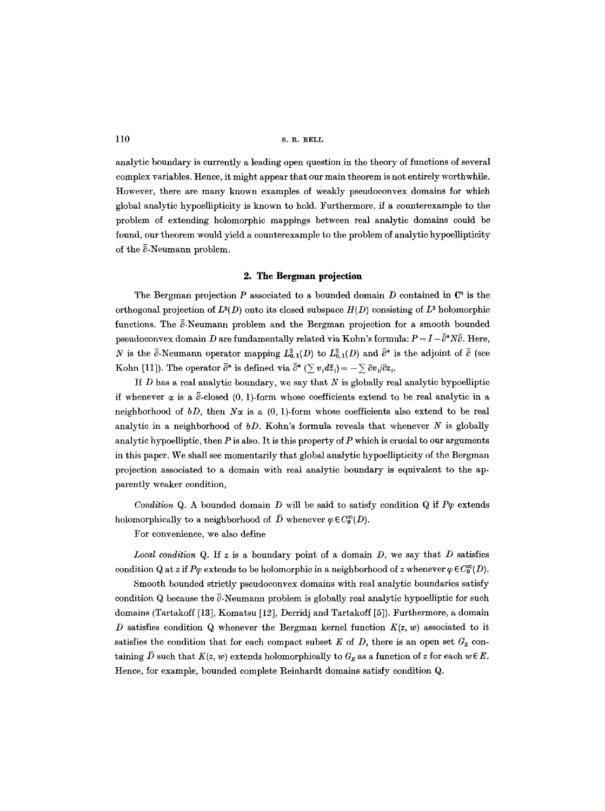110 S.R. BELL

analytic boundary is currently a leading open question in the theory of functions of several complex variables. Hence, it might appear that our main theorem is not entirely worthwhile. However, there are many known examples of weakly pseudoconvex domains for which global analytic hypoellipticity is known to hold. Furthermore, if a counterexample to the problem of extending holomorphic mappings between real analytic domains could be found, our theorem would yield a counterexample to the problem of analytic hypoellipticity of the  $\bar{\partial}$ -Neumann problem.

## **2. The Bergman projection**

The Bergman projection P associated to a bounded domain D contained in  $\mathbb{C}^n$  is the orthogonal projection of  $L^2(D)$  onto its closed subspace  $H(D)$  consisting of  $L^2$  holomorphic functions. The  $\bar{\partial}$ -Neumann problem and the Bergman projection for a smooth bounded pseudoconvex domain D are fundamentally related via Kohn's formula:  $P = I - \tilde{\partial}^* N \tilde{\partial}$ . Here, N is the  $\bar{c}$ -Neumann operator mapping  $L^2_{0,1}(D)$  to  $L^2_{0,1}(D)$  and  $\bar{c}^*$  is the adjoint of  $\bar{c}$  (see Kohn [11]). The operator  $\bar{\partial}^*$  is defined via  $\bar{\partial}^*$  ( $\sum v_i d\bar{z}_i = -\sum \partial v_i/\partial z_i$ .

If  $D$  has a real analytic boundary, we say that  $N$  is globally real analytic hypoelliptic if whenever  $\alpha$  is a  $\bar{\partial}$ -closed (0, 1)-form whose coefficients extend to be real analytic in a neighborhood of  $bD$ , then  $N\alpha$  is a  $(0, 1)$ -form whose coefficients also extend to be real analytic in a neighborhood of *bD*. Kohn's formula reveals that whenever N is globally analytic hypoelliptic, then  $P$  is also. It is this property of  $P$  which is crucial to our arguments in this paper. We shall see momentarily that global analytic hypoellipticity of the Bergman projection associated to a domain with real analytic boundary is equivalent to the apparently weaker condition,

*Condition Q. A bounded domain D will be said to satisfy condition Q if*  $P\varphi$  *extends* holomorphically to a neighborhood of  $\overline{D}$  whenever  $\varphi \in C_0^{\infty}(D)$ .

For convenience, we also define

*Local condition Q.* If  $z$  is a boundary point of a domain  $D$ , we say that  $D$  satisfies condition Q at z if  $P\varphi$  extends to be holomorphic in a neighborhood of z whenever  $\varphi \in C_0^{\infty}(D)$ .

Smooth bounded strictly pseudoconvex domains with real analytic boundaries satisfy condition Q because the  $\bar{\partial}$ -Neumann problem is globally real analytic hypoelliptic for such domains (Tartakoff [13], Komatsu [12], Derridj and Tartakoff [5]). Furthermore, a domain D satisfies condition Q whenever the Bergman kernel function  $K(z, w)$  associated to it satisfies the condition that for each compact subset E of D, there is an open set  $G_E$  containing  $\bar{D}$  such that  $K(z, w)$  extends holomorphically to  $G_E$  as a function of z for each  $w \in E$ . Hence, for example, bounded complete Reinhardt domains satisfy condition Q.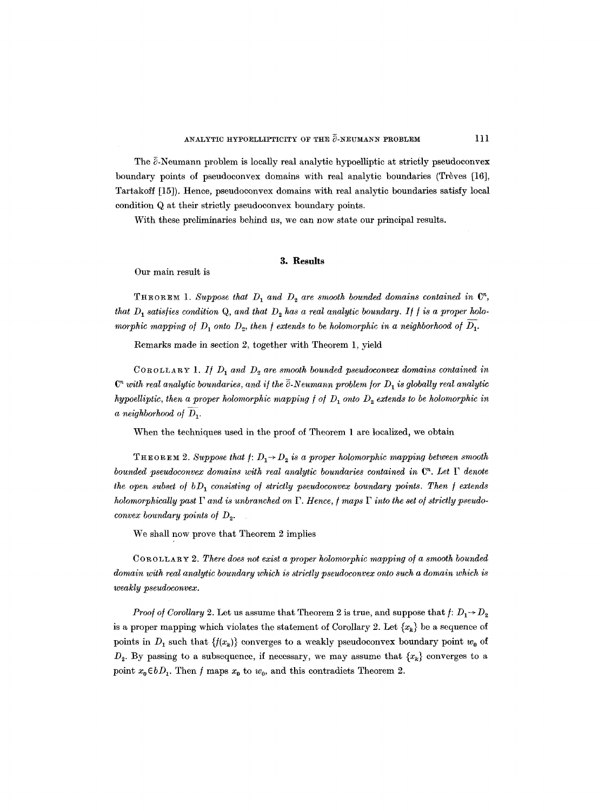The  $\bar{\partial}$ -Neumann problem is locally real analytic hypoelliptic at strictly pseudoconvex boundary points of pseudoconvex domains with real analytic boundaries (Trèves  $[16]$ , Tartakoff [15]). Hence, pseudoconvex domains with real analytic boundaries satisfy local condition Q at their strictly pseudoconvex boundary points.

With these preliminaries behind us, we can now state our principal results.

## **3. Results**

Our main result is

THEOREM 1. Suppose that  $D_1$  and  $D_2$  are smooth bounded domains contained in  $\mathbb{C}^n$ , *that D<sub>1</sub>* satisfies condition Q, and that  $D_2$  has a real analytic boundary. If f is a proper holo*morphic mapping of*  $D_1$  *onto*  $D_2$ *, then f extends to be holomorphic in a neighborhood of*  $D_1$ *.* 

Remarks made in section 2, together with Theorem 1, yield

COROLLARY 1. If  $D_1$  and  $D_2$  are smooth bounded pseudoconvex domains contained in  $C<sup>n</sup>$  with real analytic boundaries, and if the  $\tilde{c}$ -Neumann problem for  $D<sub>1</sub>$  is globally real analytic *hypoelliptic, then a proper holomorphic mapping*  $f$  *of*  $D_1$  *onto*  $D_2$  *extends to be holomorphic in*  $a$  *neighborhood of*  $D_1$ .

When the techniques used in the proof of Theorem 1 are localized, we obtain

THEOREM 2. Suppose that  $f: D_1 \rightarrow D_2$  is a proper holomorphic mapping between smooth *bounded pseudoconvex domains with real analytic boundaries contained in*  $\mathbb{C}^n$ *. Let*  $\Gamma$  *denote the open subset of bD<sub>1</sub> consisting of strictly pseudoconvex boundary points. Then f extends holomorphically past*  $\Gamma$  *and is unbranched on*  $\Gamma$ *. Hence, f maps*  $\Gamma$  *into the set of strictly pseudoconvex boundary points of D<sub>2</sub>.* 

We shall now prove that Theorem 2 implies

COROLLARY 2. *There does not exist a proper holomorphic mapping o/a smooth bounded domain with real analytic boundary which is strictly pseudoconvex onto such a domain which is weakly pseudoconvex.* 

*Proof of Corollary 2.* Let us assume that Theorem 2 is true, and suppose that  $f: D_1 \rightarrow D_2$ is a proper mapping which violates the statement of Corollary 2. Let  $\{x_k\}$  be a sequence of points in  $D_1$  such that  $\{f(x_k)\}$  converges to a weakly pseudoconvex boundary point  $w_0$  of  $D_2$ . By passing to a subsequence, if necessary, we may assume that  $\{x_k\}$  converges to a point  $x_0 \in bD_1$ . Then f maps  $x_0$  to  $w_0$ , and this contradicts Theorem 2.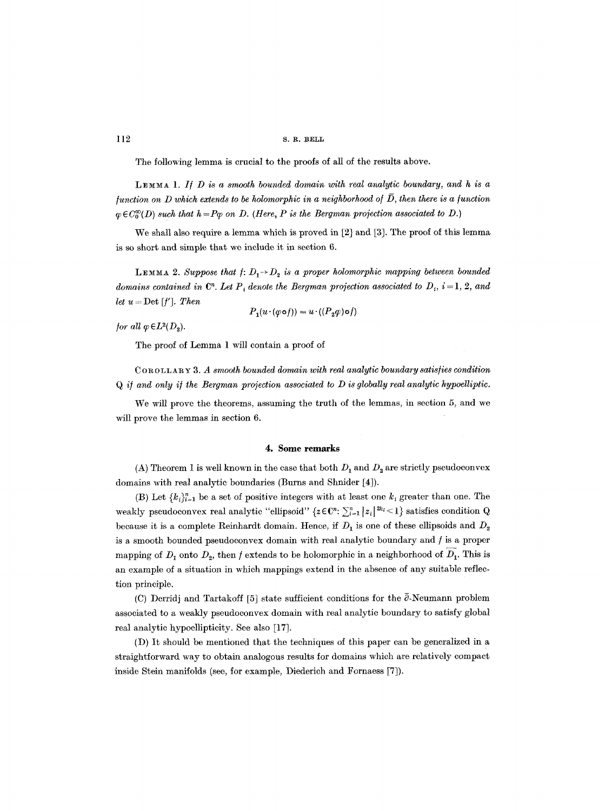The following lemma is crucial to the proofs of all of the results above.

*L]~MMA 1. I/D is a smooth bounded domain with real analytic boundary, and h is a*   $$  $\varphi \in C_0^{\infty}(D)$  such that  $h = P\varphi$  on D. (Here, P is the Bergman projection associated to D.)

We shall also require a lemma which is proved in [2] and [3]. The proof of this lemma is so short and simple that we include it in section 6.

**LEMMA 2.** Suppose that  $f: D_1 \rightarrow D_2$  is a proper holomorphic mapping between bounded *domains contained in*  $\mathbb{C}^n$ . Let  $P_i$  denote the Bergman projection associated to  $D_i$ ,  $i = 1, 2,$  and *let*  $u = Det[f']$ *. Then* 

$$
P_1(u \cdot (\varphi \circ f)) = u \cdot ((P_2 \varphi) \circ f)
$$

*for all*  $\varphi \in L^2(D_2)$ .

The proof of Lemma 1 will contain a proof of

COROLLARY 3. A smooth bounded domain with real analytic boundary satisfies condition *Q i/and only i/the Bergman pro~ection associated to D is globally real analytic hypoelliptic.* 

We will prove the theorems, assuming the truth of the lemmas, in section 5, and we will prove the lemmas in section 6.

#### **4. Some remarks**

(A) Theorem 1 is well known in the case that both  $D_1$  and  $D_2$  are strictly pseudoconvex domains with real analytic boundaries (Burns and Shnider [4]).

(B) Let  ${ k_i}_{i=1}^n$  be a set of positive integers with at least one  $k_i$  greater than one. The weakly pseudoconvex real analytic "ellipsoid" { $z \in \mathbb{C}^n$ :  $\sum_{i=1}^n |z_i|^{2k_i} \leq 1$ } satisfies condition Q because it is a complete Reinhardt domain. Hence, if  $D_1$  is one of these ellipsoids and  $D_2$ is a smooth bounded pseudoeonvex domain with real analytic boundary and / is a proper mapping of  $D_1$  onto  $D_2$ , then f extends to be holomorphic in a neighborhood of  $D_1$ . This is an example of a situation in which mappings extend in the absence of any suitable reflection principle.

(C) Derridj and Tartakoff [5] state sufficient conditions for the  $\bar{\partial}$ -Neumann problem associated to a weakly pseudoconvex domain with real analytic boundary to satisfy global real analytic hypoellipticity. See also [17].

(D) It should be mentioned that the techniques of this paper can be generalized in a straightforward way to obtain analogous results for domains which are relatively compact inside Stein manifolds (see, for example, Diederich and Fornaess [7]).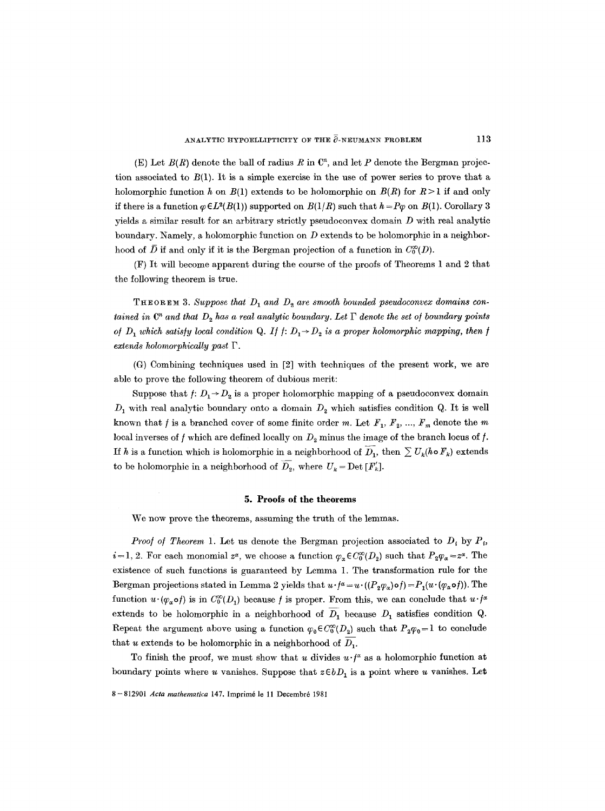(E) Let  $B(R)$  denote the ball of radius R in  $\mathbb{C}^n$ , and let P denote the Bergman projection associated to  $B(1)$ . It is a simple exercise in the use of power series to prove that a holomorphic function h on  $B(1)$  extends to be holomorphic on  $B(R)$  for  $R > 1$  if and only if there is a function  $\varphi \in L^2(B(1))$  supported on  $B(1/R)$  such that  $h = P\varphi$  on  $B(1)$ . Corollary 3 yields a similar result for an arbitrary strictly pseudoconvex domain  $D$  with real analytic boundary. Namely, a holomorphic function on  $D$  extends to be holomorphic in a neighborhood of  $\bar{D}$  if and only if it is the Bergman projection of a function in  $C_0^{\infty}(D)$ .

(F) It will become apparent during the course of the proofs of Theorems 1 and 2 that the following theorem is true.

**THEOREM 3.** Suppose that  $D_1$  and  $D_2$  are smooth bounded pseudoconvex domains con*tained in*  $\mathbb{C}^n$  and that  $D_2$  has a real analytic boundary. Let  $\Gamma$  denote the set of boundary points *of*  $D_1$  which satisfy local condition Q. If  $f: D_1 \rightarrow D_2$  is a proper holomorphic mapping, then f  $extends holomorphically past  $\Gamma$ .$ 

(G) Combining techniques used in [2] with techniques of the present work, we are able to prove the following theorem of dubious merit:

Suppose that  $f: D_1 \rightarrow D_2$  is a proper holomorphic mapping of a pseudoconvex domain  $D_1$  with real analytic boundary onto a domain  $D_2$  which satisfies condition Q. It is well known that f is a branched cover of some finite order m. Let  $F_1, F_2, ..., F_m$  denote the m local inverses of f which are defined locally on  $D_2$  minus the image of the branch locus of f. If h is a function which is holomorphic in a neighborhood of  $\overline{D}_1$ , then  $\sum U_k(h \circ F_k)$  extends to be holomorphic in a neighborhood of  $\overline{D}_2$ , where  $U_k = \text{Det}[F'_k]$ .

## **5. Proofs ot the theOrems**

We now prove the theorems, assuming the truth of the lemmas.

*Proof of Theorem 1.* Let us denote the Bergman projection associated to  $D_i$  by  $P_i$ ,  $i = 1, 2$ . For each monomial  $z^{\alpha}$ , we choose a function  $\varphi_{\alpha} \in C_0^{\infty}(D_2)$  such that  $P_2\varphi_{\alpha} = z^{\alpha}$ . The existence of such functions is guaranteed by Lemma 1. The transformation rule for the Bergman projections stated in Lemma 2 yields that  $u \cdot f^{\alpha} = u \cdot ((P_2 \varphi_{\alpha}) \circ f) = P_1(u \cdot (\varphi_{\alpha} \circ f))$ . The function  $u \cdot (\varphi_{\alpha} \circ f)$  is in  $C_0^{\infty}(D_1)$  because f is proper. From this, we can conclude that  $u \cdot f^{\alpha}$ extends to be holomorphic in a neighborhood of  $\overline{D}_1$  because  $D_1$  satisfies condition Q. Repeat the argument above using a function  $\varphi_0 \in C_0^{\infty}(D_2)$  such that  $P_2 \varphi_0 = 1$  to conclude that u extends to be holomorphic in a neighborhood of  $D_1$ .

To finish the proof, we must show that u divides  $u \cdot f^x$  as a holomorphic function at boundary points where u vanishes. Suppose that  $z \in bD_1$  is a point where u vanishes. Let

**8-** 812901 *Acta mathematica* 147. Imprirn6 le 11 Decembr6 1981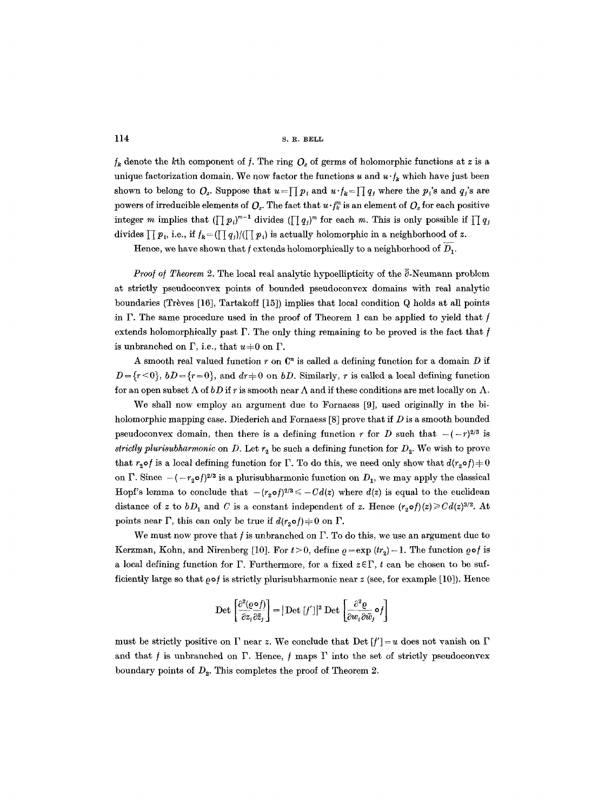114 S.R. BELL

 $f_k$  denote the kth component of f. The ring  $O_z$  of germs of holomorphic functions at z is a unique factorization domain. We now factor the functions u and  $u \cdot t_k$  which have just been shown to belong to  $Q_z$ . Suppose that  $u = \prod p_i$  and  $u \cdot f_k = \prod q_j$  where the  $p_i$ 's and  $q_j$ 's are powers of irreducible elements of  $Q_z$ . The fact that  $u \cdot f_k^m$  is an element of  $Q_z$  for each positive integer m implies that  $(\prod p_i)^{m-1}$  divides  $(\prod q_i)^m$  for each m. This is only possible if  $\prod q_j$ divides  $\prod p_i$ , i.e., if  $f_k = (\prod q_j)/(\prod p_i)$  is actually holomorphic in a neighborhood of z.

Hence, we have shown that f extends holomorphically to a neighborhood of  $D_1$ .

*Proof of Theorem 2.* The local real analytic hypoellipticity of the  $\bar{c}$ -Neumann problem at strictly pseudoeonvex points of bounded pseudoeonvex domains with real analytic boundaries (Trèves  $[16]$ , Tartakoff  $[15]$ ) implies that local condition Q holds at all points in  $\Gamma$ . The same procedure used in the proof of Theorem 1 can be applied to yield that  $f$ extends holomorphically past  $\Gamma$ . The only thing remaining to be proved is the fact that f is unbranched on  $\Gamma$ , i.e., that  $u\neq 0$  on  $\Gamma$ .

A smooth real valued function  $r$  on  $\mathbb{C}^n$  is called a defining function for a domain D if  $D=\{r\leq 0\}$ ,  $bD=\{r=0\}$ , and  $dr=0$  on  $bD$ . Similarly, r is called a local defining function for an open subset  $\Lambda$  of  $bD$  if r is smooth near  $\Lambda$  and if these conditions are met locally on  $\Lambda$ .

We shall now employ an argument due to Fornaess [9], used originally in the biholomorphic mapping case. Diederich and Fornaess [8] prove that if D is a smooth bounded pseudoconvex domain, then there is a defining function r for D such that  $-(-r)^{2/3}$  is *strictly plurisubharmonic* on D. Let  $r<sub>2</sub>$  be such a defining function for  $D<sub>2</sub>$ . We wish to prove that  $r_2 \circ f$  is a local defining function for  $\Gamma$ . To do this, we need only show that  $d(r_2 \circ f) = 0$ on  $\Gamma$ . Since  $-(-r_2 \circ f)^{2/3}$  is a plurisubharmonic function on  $D_1$ , we may apply the classical Hopf's lemma to conclude that  $-(r_{\alpha}\sigma)^{2/3} \leq -Cd(z)$  where  $d(z)$  is equal to the euclidean distance of z to  $bD_1$  and C is a constant independent of z. Hence  $(r_2 \circ f)(z) \geq Cd(z)^{3/2}$ . At points near  $\Gamma$ , this can only be true if  $d(r_2 \circ f) \neq 0$  on  $\Gamma$ .

We must now prove that  $f$  is unbranched on  $\Gamma$ . To do this, we use an argument due to Kerzman, Kohn, and Nirenberg [10]. For  $t > 0$ , define  $\rho = \exp (tr_2) - 1$ . The function  $\rho \circ f$  is a local defining function for  $\Gamma$ . Furthermore, for a fixed  $z \in \Gamma$ , t can be chosen to be sufficiently large so that  $\rho \circ f$  is strictly plurisubharmonic near z (see, for example [10]). Hence

$$
\text{Det}\left[\frac{\partial^2(\varrho\,\mathfrak{o}\,f)}{\partial z_i\,\partial\bar{z}_j}\right]=\big|\operatorname{Det}\,[f']\big|^2\;\text{Det}\,\left[\frac{\partial^2\varrho}{\partial w_i\,\partial\bar{w}_j}\mathfrak{o}\,f\right]
$$

must be strictly positive on  $\Gamma$  near z. We conclude that Det  $[f']=u$  does not vanish on  $\Gamma$ and that  $f$  is unbranched on  $\Gamma$ . Hence,  $f$  maps  $\Gamma$  into the set of strictly pseudoconvex boundary points of  $D<sub>2</sub>$ . This completes the proof of Theorem 2.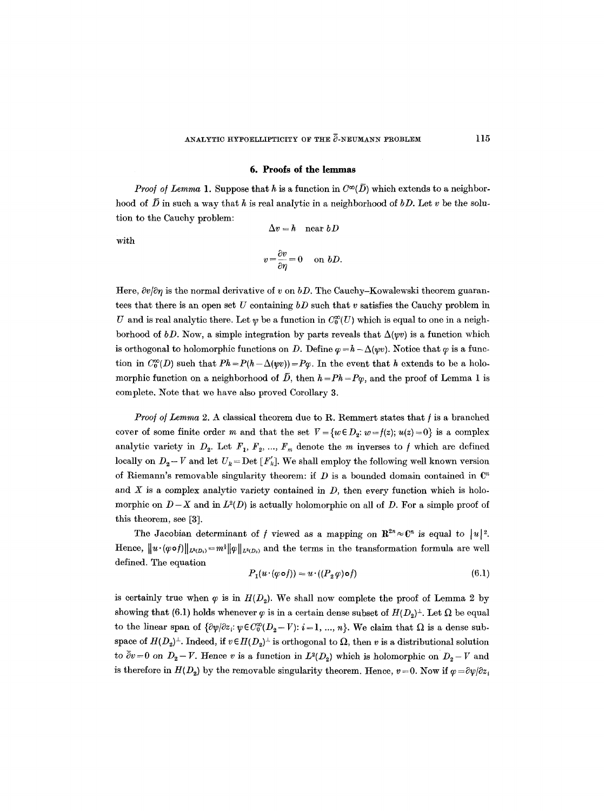## ANALYTIC HYPOELLIPTICITY OF THE  $\bar{\partial}$ -NEUMANN PROBLEM 115

### **6. Proofs of the lemmas**

*Proof of Lemma* 1. Suppose that h is a function in  $C^{\infty}(\overline{D})$  which extends to a neighborhood of  $\bar{D}$  in such a way that h is real analytic in a neighborhood of  $bD$ . Let v be the solution to the Cauchy problem:

 $\Delta v=h$  near  $bD$ 

with

$$
v = \frac{\partial v}{\partial \eta} = 0 \quad \text{on } bD.
$$

Here,  $\partial v/\partial \eta$  is the normal derivative of v on *bD*. The Cauchy-Kowalewski theorem guarantees that there is an open set U containing *bD* such that v satisfies the Cauchy problem in U and is real analytic there. Let  $\psi$  be a function in  $C_0^{\infty}(U)$  which is equal to one in a neighborhood of *bD*. Now, a simple integration by parts reveals that  $\Delta(\psi v)$  is a function which is orthogonal to holomorphic functions on D. Define  $\varphi = h - \Delta(wv)$ . Notice that  $\varphi$  is a function in  $C_0^{\infty}(D)$  such that  $Ph = P(h - \Delta(\psi v)) = P\varphi$ . In the event that h extends to be a holomorphic function on a neighborhood of  $\bar{D}$ , then  $h = Ph = P\varphi$ , and the proof of Lemma 1 is complete. Note that we have also proved Corollary 3.

*Proof of Lemma 2. A classical theorem due to R. Remmert states that f is a branched* cover of some finite order m and that the set  $V = \{w \in D_2 : w = f(z); u(z) = 0\}$  is a complex analytic variety in  $D_2$ . Let  $F_1, F_2, ..., F_m$  denote the m inverses to f which are defined locally on  $D_2 - V$  and let  $U_k = Det [F'_k]$ . We shall employ the following well known version of Riemann's removable singularity theorem: if  $D$  is a bounded domain contained in  $\mathbb{C}^n$ and  $X$  is a complex analytic variety contained in  $D$ , then every function which is holomorphic on  $D-X$  and in  $L^2(D)$  is actually holomorphic on all of D. For a simple proof of this theorem, see [3].

The Jacobian determinant of f viewed as a mapping on  $\mathbb{R}^{2n} \approx \mathbb{C}^n$  is equal to  $|u|^2$ . Hence,  $\|u \cdot (\varphi \circ f)\|_{L^2(D_1)} = m^{\frac{1}{2}} \| \varphi \|_{L^2(D_2)}$  and the terms in the transformation formula are well defined. The equation

$$
P_1(u \cdot (\varphi \circ f)) = u \cdot ((P_2 \varphi) \circ f) \tag{6.1}
$$

is certainly true when  $\varphi$  is in  $H(D_2)$ . We shall now complete the proof of Lemma 2 by showing that (6.1) holds whenever  $\varphi$  is in a certain dense subset of  $H(D_2)^{\perp}$ . Let  $\Omega$  be equal to the linear span of  $\{\partial \psi/\partial z_i : \psi \in C_0^{\infty}(D_2 - V): i = 1, ..., n\}$ . We claim that  $\Omega$  is a dense subspace of  $H(D_2)^{\perp}$ . Indeed, if  $v \in H(D_2)^{\perp}$  is orthogonal to  $\Omega$ , then v is a distributional solution to  $\overline{\partial}v=0$  on  $D_2 - V$ . Hence v is a function in  $L^2(D_2)$  which is holomorphic on  $D_2 - V$  and is therefore in  $H(D_2)$  by the removable singularity theorem. Hence,  $v = 0$ . Now if  $\varphi = \partial \psi / \partial z_i$